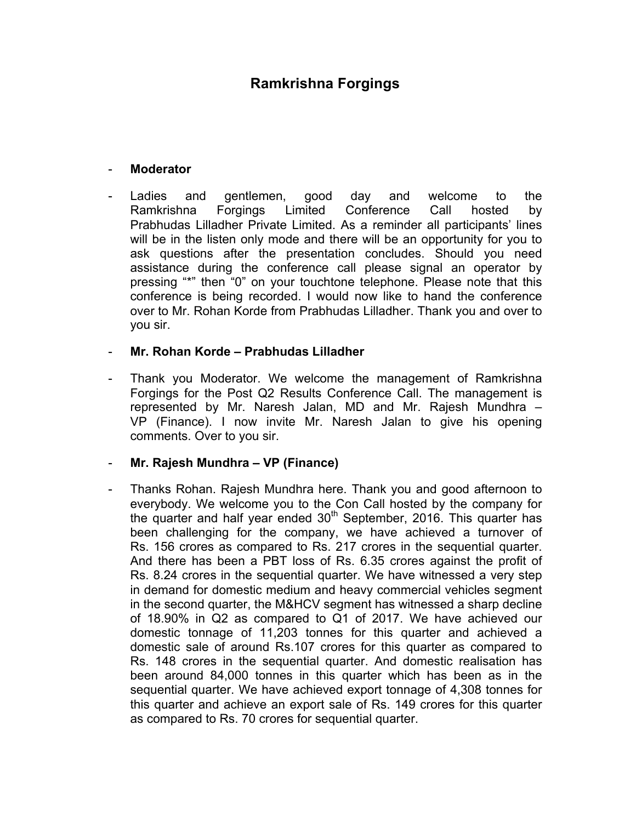# **Ramkrishna Forgings**

#### - **Moderator**

Ladies and gentlemen, good day and welcome to the Ramkrishna Forgings Limited Conference Call hosted by Prabhudas Lilladher Private Limited. As a reminder all participants' lines will be in the listen only mode and there will be an opportunity for you to ask questions after the presentation concludes. Should you need assistance during the conference call please signal an operator by pressing "\*" then "0" on your touchtone telephone. Please note that this conference is being recorded. I would now like to hand the conference over to Mr. Rohan Korde from Prabhudas Lilladher. Thank you and over to you sir.

#### - **Mr. Rohan Korde – Prabhudas Lilladher**

Thank you Moderator. We welcome the management of Ramkrishna Forgings for the Post Q2 Results Conference Call. The management is represented by Mr. Naresh Jalan, MD and Mr. Rajesh Mundhra – VP (Finance). I now invite Mr. Naresh Jalan to give his opening comments. Over to you sir.

#### - **Mr. Rajesh Mundhra – VP (Finance)**

- Thanks Rohan. Rajesh Mundhra here. Thank you and good afternoon to everybody. We welcome you to the Con Call hosted by the company for the quarter and half year ended 30<sup>th</sup> September, 2016. This quarter has been challenging for the company, we have achieved a turnover of Rs. 156 crores as compared to Rs. 217 crores in the sequential quarter. And there has been a PBT loss of Rs. 6.35 crores against the profit of Rs. 8.24 crores in the sequential quarter. We have witnessed a very step in demand for domestic medium and heavy commercial vehicles segment in the second quarter, the M&HCV segment has witnessed a sharp decline of 18.90% in Q2 as compared to Q1 of 2017. We have achieved our domestic tonnage of 11,203 tonnes for this quarter and achieved a domestic sale of around Rs.107 crores for this quarter as compared to Rs. 148 crores in the sequential quarter. And domestic realisation has been around 84,000 tonnes in this quarter which has been as in the sequential quarter. We have achieved export tonnage of 4,308 tonnes for this quarter and achieve an export sale of Rs. 149 crores for this quarter as compared to Rs. 70 crores for sequential quarter.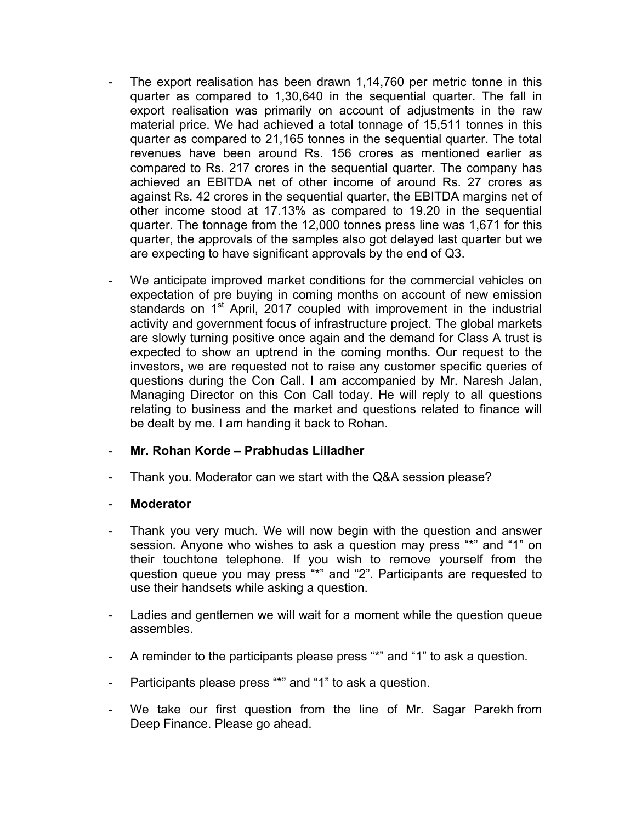- The export realisation has been drawn 1,14,760 per metric tonne in this quarter as compared to 1,30,640 in the sequential quarter. The fall in export realisation was primarily on account of adjustments in the raw material price. We had achieved a total tonnage of 15,511 tonnes in this quarter as compared to 21,165 tonnes in the sequential quarter. The total revenues have been around Rs. 156 crores as mentioned earlier as compared to Rs. 217 crores in the sequential quarter. The company has achieved an EBITDA net of other income of around Rs. 27 crores as against Rs. 42 crores in the sequential quarter, the EBITDA margins net of other income stood at 17.13% as compared to 19.20 in the sequential quarter. The tonnage from the 12,000 tonnes press line was 1,671 for this quarter, the approvals of the samples also got delayed last quarter but we are expecting to have significant approvals by the end of Q3.
- We anticipate improved market conditions for the commercial vehicles on expectation of pre buying in coming months on account of new emission standards on  $1<sup>st</sup>$  April, 2017 coupled with improvement in the industrial activity and government focus of infrastructure project. The global markets are slowly turning positive once again and the demand for Class A trust is expected to show an uptrend in the coming months. Our request to the investors, we are requested not to raise any customer specific queries of questions during the Con Call. I am accompanied by Mr. Naresh Jalan, Managing Director on this Con Call today. He will reply to all questions relating to business and the market and questions related to finance will be dealt by me. I am handing it back to Rohan.

#### - **Mr. Rohan Korde – Prabhudas Lilladher**

Thank you. Moderator can we start with the Q&A session please?

- Thank you very much. We will now begin with the question and answer session. Anyone who wishes to ask a question may press "\*" and "1" on their touchtone telephone. If you wish to remove yourself from the question queue you may press "\*" and "2". Participants are requested to use their handsets while asking a question.
- Ladies and gentlemen we will wait for a moment while the question queue assembles.
- A reminder to the participants please press "\*" and "1" to ask a question.
- Participants please press "\*" and "1" to ask a question.
- We take our first question from the line of Mr. Sagar Parekh from Deep Finance. Please go ahead.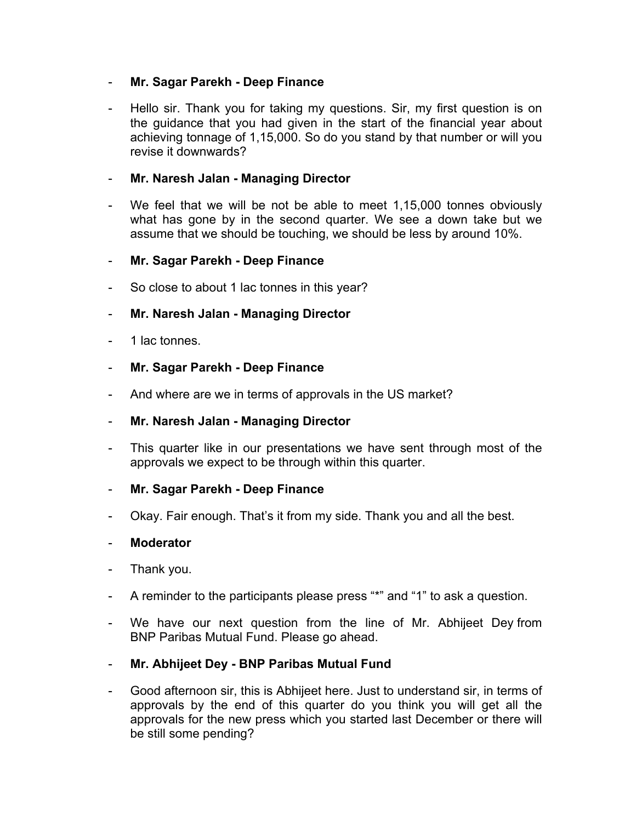#### - **Mr. Sagar Parekh - Deep Finance**

Hello sir. Thank you for taking my questions. Sir, my first question is on the guidance that you had given in the start of the financial year about achieving tonnage of 1,15,000. So do you stand by that number or will you revise it downwards?

# - **Mr. Naresh Jalan - Managing Director**

We feel that we will be not be able to meet 1,15,000 tonnes obviously what has gone by in the second quarter. We see a down take but we assume that we should be touching, we should be less by around 10%.

# - **Mr. Sagar Parekh - Deep Finance**

So close to about 1 lac tonnes in this year?

# - **Mr. Naresh Jalan - Managing Director**

- 1 lac tonnes.
- **Mr. Sagar Parekh - Deep Finance**
- And where are we in terms of approvals in the US market?
- **Mr. Naresh Jalan - Managing Director**
- This quarter like in our presentations we have sent through most of the approvals we expect to be through within this quarter.
- **Mr. Sagar Parekh - Deep Finance**
- Okay. Fair enough. That's it from my side. Thank you and all the best.

- Thank you.
- A reminder to the participants please press "\*" and "1" to ask a question.
- We have our next question from the line of Mr. Abhijeet Dey from BNP Paribas Mutual Fund. Please go ahead.
- **Mr. Abhijeet Dey - BNP Paribas Mutual Fund**
- Good afternoon sir, this is Abhijeet here. Just to understand sir, in terms of approvals by the end of this quarter do you think you will get all the approvals for the new press which you started last December or there will be still some pending?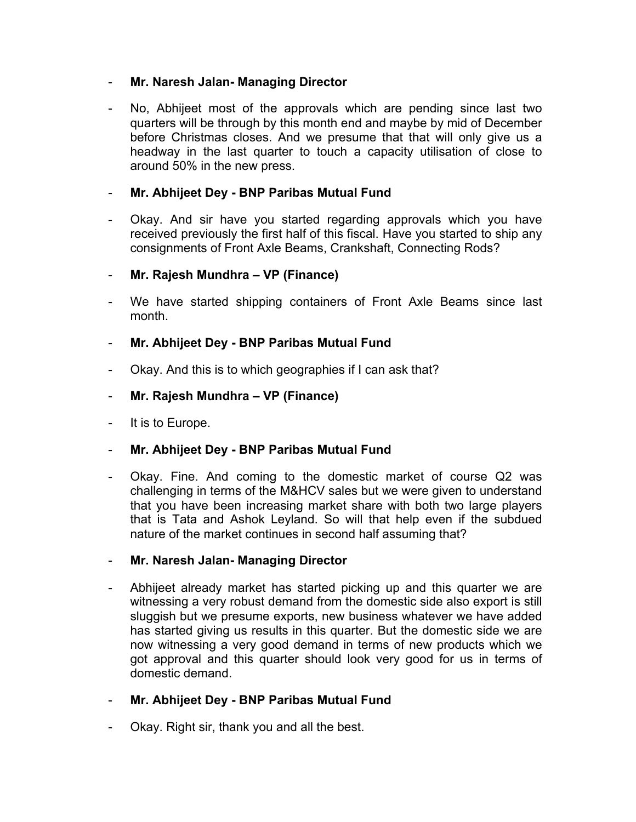### - **Mr. Naresh Jalan- Managing Director**

No, Abhijeet most of the approvals which are pending since last two quarters will be through by this month end and maybe by mid of December before Christmas closes. And we presume that that will only give us a headway in the last quarter to touch a capacity utilisation of close to around 50% in the new press.

# - **Mr. Abhijeet Dey - BNP Paribas Mutual Fund**

- Okay. And sir have you started regarding approvals which you have received previously the first half of this fiscal. Have you started to ship any consignments of Front Axle Beams, Crankshaft, Connecting Rods?
- **Mr. Rajesh Mundhra – VP (Finance)**
- We have started shipping containers of Front Axle Beams since last month.
- **Mr. Abhijeet Dey - BNP Paribas Mutual Fund**
- Okay. And this is to which geographies if I can ask that?
- **Mr. Rajesh Mundhra – VP (Finance)**
- It is to Europe.
- **Mr. Abhijeet Dey - BNP Paribas Mutual Fund**
- Okay. Fine. And coming to the domestic market of course Q2 was challenging in terms of the M&HCV sales but we were given to understand that you have been increasing market share with both two large players that is Tata and Ashok Leyland. So will that help even if the subdued nature of the market continues in second half assuming that?
- **Mr. Naresh Jalan- Managing Director**
- Abhijeet already market has started picking up and this quarter we are witnessing a very robust demand from the domestic side also export is still sluggish but we presume exports, new business whatever we have added has started giving us results in this quarter. But the domestic side we are now witnessing a very good demand in terms of new products which we got approval and this quarter should look very good for us in terms of domestic demand.
- **Mr. Abhijeet Dey - BNP Paribas Mutual Fund**
- Okay. Right sir, thank you and all the best.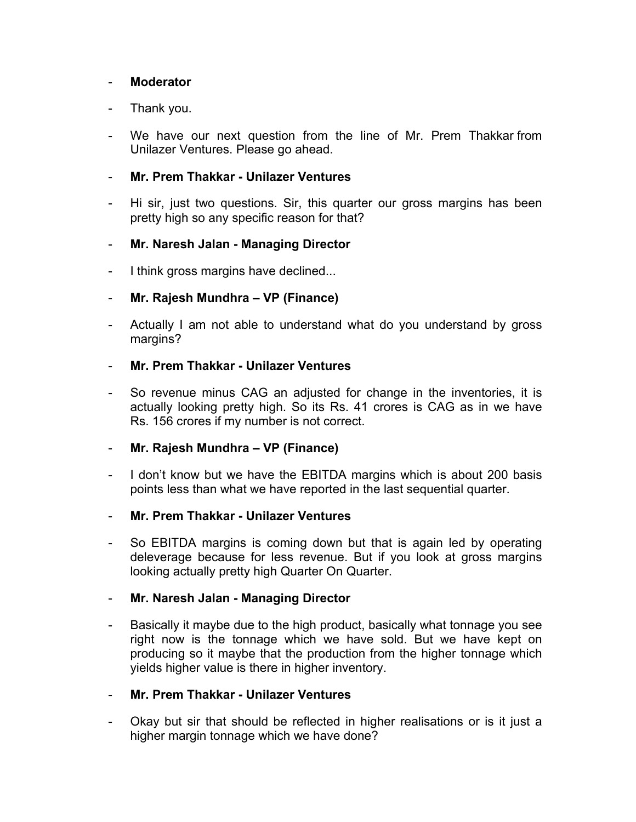#### - **Moderator**

#### Thank you.

We have our next question from the line of Mr. Prem Thakkar from Unilazer Ventures. Please go ahead.

#### - **Mr. Prem Thakkar - Unilazer Ventures**

Hi sir, just two questions. Sir, this quarter our gross margins has been pretty high so any specific reason for that?

#### - **Mr. Naresh Jalan - Managing Director**

I think gross margins have declined...

#### - **Mr. Rajesh Mundhra – VP (Finance)**

Actually I am not able to understand what do you understand by gross margins?

#### - **Mr. Prem Thakkar - Unilazer Ventures**

- So revenue minus CAG an adjusted for change in the inventories, it is actually looking pretty high. So its Rs. 41 crores is CAG as in we have Rs. 156 crores if my number is not correct.

### - **Mr. Rajesh Mundhra – VP (Finance)**

I don't know but we have the EBITDA margins which is about 200 basis points less than what we have reported in the last sequential quarter.

#### - **Mr. Prem Thakkar - Unilazer Ventures**

- So EBITDA margins is coming down but that is again led by operating deleverage because for less revenue. But if you look at gross margins looking actually pretty high Quarter On Quarter.

#### - **Mr. Naresh Jalan - Managing Director**

Basically it maybe due to the high product, basically what tonnage you see right now is the tonnage which we have sold. But we have kept on producing so it maybe that the production from the higher tonnage which yields higher value is there in higher inventory.

#### - **Mr. Prem Thakkar - Unilazer Ventures**

Okay but sir that should be reflected in higher realisations or is it just a higher margin tonnage which we have done?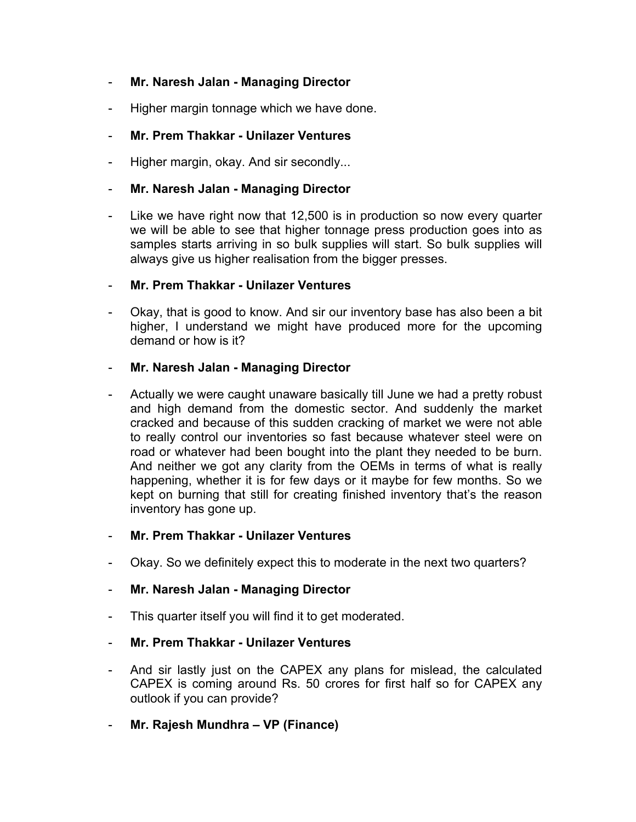# - **Mr. Naresh Jalan - Managing Director**

Higher margin tonnage which we have done.

# - **Mr. Prem Thakkar - Unilazer Ventures**

Higher margin, okay. And sir secondly...

### - **Mr. Naresh Jalan - Managing Director**

Like we have right now that 12,500 is in production so now every quarter we will be able to see that higher tonnage press production goes into as samples starts arriving in so bulk supplies will start. So bulk supplies will always give us higher realisation from the bigger presses.

#### - **Mr. Prem Thakkar - Unilazer Ventures**

Okay, that is good to know. And sir our inventory base has also been a bit higher, I understand we might have produced more for the upcoming demand or how is it?

#### - **Mr. Naresh Jalan - Managing Director**

- Actually we were caught unaware basically till June we had a pretty robust and high demand from the domestic sector. And suddenly the market cracked and because of this sudden cracking of market we were not able to really control our inventories so fast because whatever steel were on road or whatever had been bought into the plant they needed to be burn. And neither we got any clarity from the OEMs in terms of what is really happening, whether it is for few days or it maybe for few months. So we kept on burning that still for creating finished inventory that's the reason inventory has gone up.

#### - **Mr. Prem Thakkar - Unilazer Ventures**

Okay. So we definitely expect this to moderate in the next two quarters?

#### - **Mr. Naresh Jalan - Managing Director**

- This quarter itself you will find it to get moderated.
- **Mr. Prem Thakkar - Unilazer Ventures**
- And sir lastly just on the CAPEX any plans for mislead, the calculated CAPEX is coming around Rs. 50 crores for first half so for CAPEX any outlook if you can provide?
- **Mr. Rajesh Mundhra – VP (Finance)**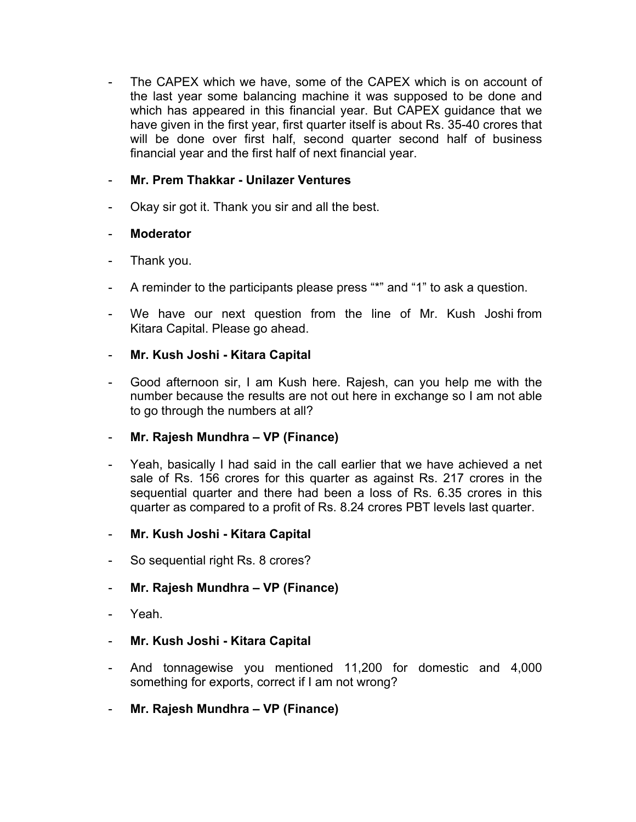The CAPEX which we have, some of the CAPEX which is on account of the last year some balancing machine it was supposed to be done and which has appeared in this financial year. But CAPEX guidance that we have given in the first year, first quarter itself is about Rs. 35-40 crores that will be done over first half, second quarter second half of business financial year and the first half of next financial year.

# - **Mr. Prem Thakkar - Unilazer Ventures**

Okay sir got it. Thank you sir and all the best.

# - **Moderator**

- Thank you.
- A reminder to the participants please press "\*" and "1" to ask a question.
- We have our next question from the line of Mr. Kush Joshi from Kitara Capital. Please go ahead.

# - **Mr. Kush Joshi - Kitara Capital**

Good afternoon sir, I am Kush here. Rajesh, can you help me with the number because the results are not out here in exchange so I am not able to go through the numbers at all?

#### - **Mr. Rajesh Mundhra – VP (Finance)**

- Yeah, basically I had said in the call earlier that we have achieved a net sale of Rs. 156 crores for this quarter as against Rs. 217 crores in the sequential quarter and there had been a loss of Rs. 6.35 crores in this quarter as compared to a profit of Rs. 8.24 crores PBT levels last quarter.
- **Mr. Kush Joshi - Kitara Capital**
- So sequential right Rs. 8 crores?

# - **Mr. Rajesh Mundhra – VP (Finance)**

- Yeah.
- **Mr. Kush Joshi - Kitara Capital**
- And tonnagewise you mentioned 11,200 for domestic and 4,000 something for exports, correct if I am not wrong?
- **Mr. Rajesh Mundhra – VP (Finance)**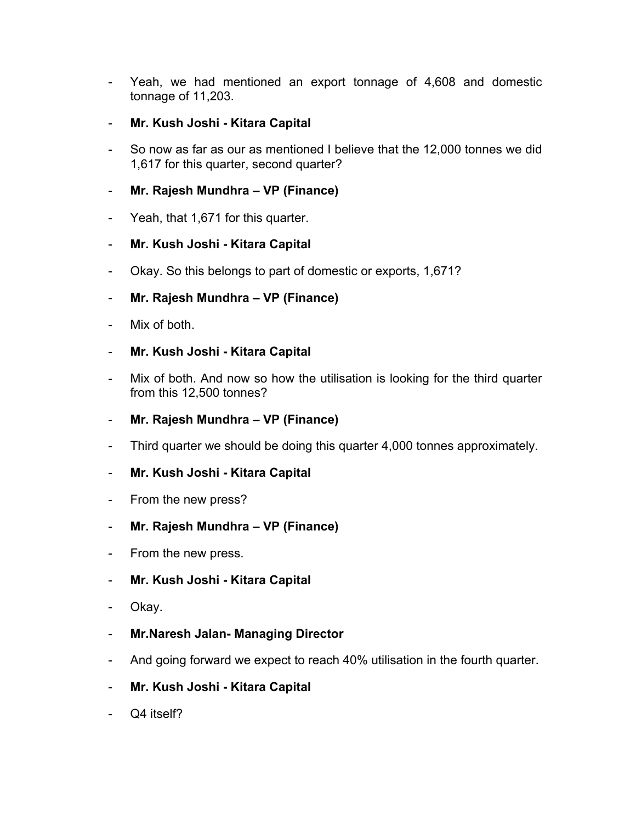- Yeah, we had mentioned an export tonnage of 4,608 and domestic tonnage of 11,203.
- **Mr. Kush Joshi - Kitara Capital**
- So now as far as our as mentioned I believe that the 12,000 tonnes we did 1,617 for this quarter, second quarter?
- **Mr. Rajesh Mundhra – VP (Finance)**
- Yeah, that 1,671 for this quarter.
- **Mr. Kush Joshi - Kitara Capital**
- Okay. So this belongs to part of domestic or exports, 1,671?
- **Mr. Rajesh Mundhra – VP (Finance)**
- Mix of both.
- **Mr. Kush Joshi - Kitara Capital**
- Mix of both. And now so how the utilisation is looking for the third quarter from this 12,500 tonnes?
- **Mr. Rajesh Mundhra – VP (Finance)**
- Third quarter we should be doing this quarter 4,000 tonnes approximately.
- **Mr. Kush Joshi - Kitara Capital**
- From the new press?
- **Mr. Rajesh Mundhra – VP (Finance)**
- From the new press.
- **Mr. Kush Joshi - Kitara Capital**
- Okay.
- **Mr.Naresh Jalan- Managing Director**
- And going forward we expect to reach 40% utilisation in the fourth quarter.
- **Mr. Kush Joshi - Kitara Capital**
- Q4 itself?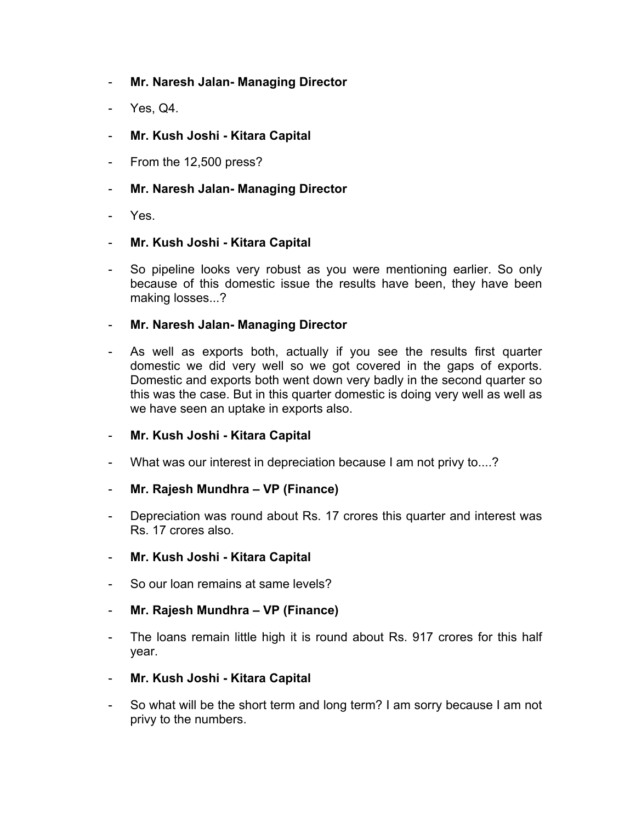- **Mr. Naresh Jalan- Managing Director**
- Yes, Q4.
- **Mr. Kush Joshi - Kitara Capital**
- From the 12,500 press?
- **Mr. Naresh Jalan- Managing Director**
- Yes.
- **Mr. Kush Joshi - Kitara Capital**
- So pipeline looks very robust as you were mentioning earlier. So only because of this domestic issue the results have been, they have been making losses...?
- **Mr. Naresh Jalan- Managing Director**
- As well as exports both, actually if you see the results first quarter domestic we did very well so we got covered in the gaps of exports. Domestic and exports both went down very badly in the second quarter so this was the case. But in this quarter domestic is doing very well as well as we have seen an uptake in exports also.
- **Mr. Kush Joshi - Kitara Capital**
- What was our interest in depreciation because I am not privy to....?
- **Mr. Rajesh Mundhra – VP (Finance)**
- Depreciation was round about Rs. 17 crores this quarter and interest was Rs. 17 crores also.
- **Mr. Kush Joshi - Kitara Capital**
- So our loan remains at same levels?
- **Mr. Rajesh Mundhra – VP (Finance)**
- The loans remain little high it is round about Rs. 917 crores for this half year.
- **Mr. Kush Joshi - Kitara Capital**
- So what will be the short term and long term? I am sorry because I am not privy to the numbers.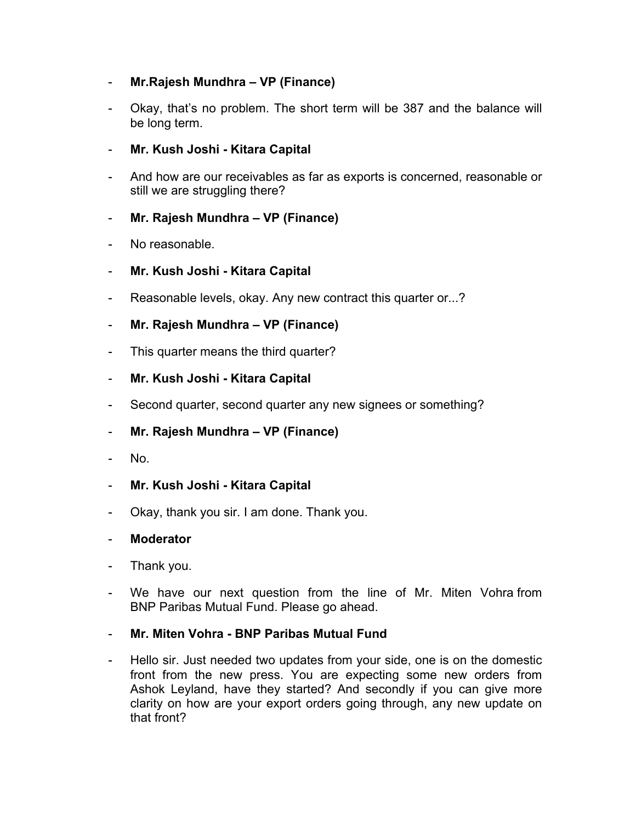# - **Mr.Rajesh Mundhra – VP (Finance)**

- Okay, that's no problem. The short term will be 387 and the balance will be long term.
- **Mr. Kush Joshi - Kitara Capital**
- And how are our receivables as far as exports is concerned, reasonable or still we are struggling there?

# - **Mr. Rajesh Mundhra – VP (Finance)**

- No reasonable.
- **Mr. Kush Joshi - Kitara Capital**
- Reasonable levels, okay. Any new contract this quarter or...?
- **Mr. Rajesh Mundhra – VP (Finance)**
- This quarter means the third quarter?
- **Mr. Kush Joshi - Kitara Capital**
- Second quarter, second quarter any new signees or something?
- **Mr. Rajesh Mundhra – VP (Finance)**
- No.
- **Mr. Kush Joshi - Kitara Capital**
- Okay, thank you sir. I am done. Thank you.

- Thank you.
- We have our next question from the line of Mr. Miten Vohra from BNP Paribas Mutual Fund. Please go ahead.
- **Mr. Miten Vohra - BNP Paribas Mutual Fund**
- Hello sir. Just needed two updates from your side, one is on the domestic front from the new press. You are expecting some new orders from Ashok Leyland, have they started? And secondly if you can give more clarity on how are your export orders going through, any new update on that front?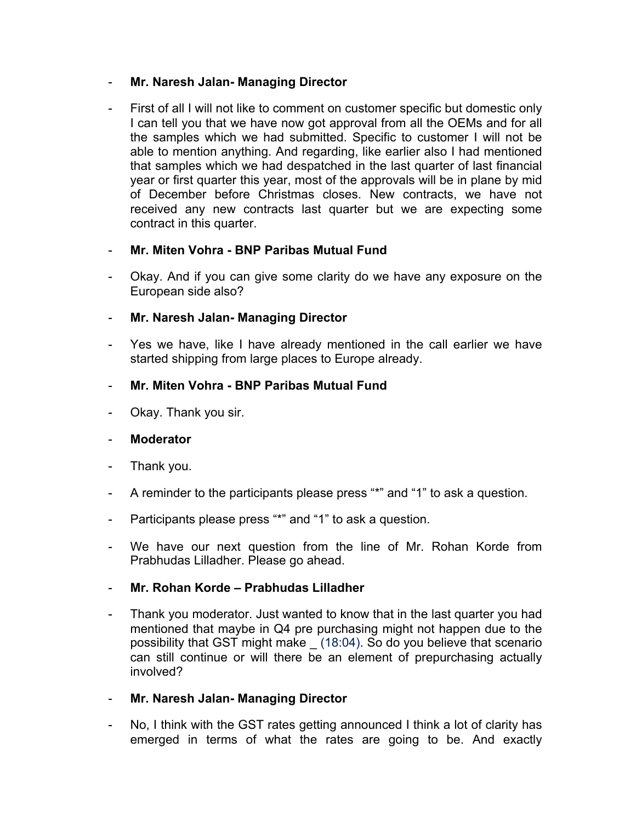### - **Mr. Naresh Jalan- Managing Director**

First of all I will not like to comment on customer specific but domestic only I can tell you that we have now got approval from all the OEMs and for all the samples which we had submitted. Specific to customer I will not be able to mention anything. And regarding, like earlier also I had mentioned that samples which we had despatched in the last quarter of last financial year or first quarter this year, most of the approvals will be in plane by mid of December before Christmas closes. New contracts, we have not received any new contracts last quarter but we are expecting some contract in this quarter.

# - **Mr. Miten Vohra - BNP Paribas Mutual Fund**

- Okay. And if you can give some clarity do we have any exposure on the European side also?

# - **Mr. Naresh Jalan- Managing Director**

Yes we have, like I have already mentioned in the call earlier we have started shipping from large places to Europe already.

# - **Mr. Miten Vohra - BNP Paribas Mutual Fund**

Okay. Thank you sir.

#### - **Moderator**

- Thank you.
- A reminder to the participants please press "\*" and "1" to ask a question.
- Participants please press "\*" and "1" to ask a question.
- We have our next question from the line of Mr. Rohan Korde from Prabhudas Lilladher. Please go ahead.

#### - **Mr. Rohan Korde – Prabhudas Lilladher**

- Thank you moderator. Just wanted to know that in the last quarter you had mentioned that maybe in Q4 pre purchasing might not happen due to the possibility that GST might make \_ (18:04). So do you believe that scenario can still continue or will there be an element of prepurchasing actually involved?
- **Mr. Naresh Jalan- Managing Director**
- No, I think with the GST rates getting announced I think a lot of clarity has emerged in terms of what the rates are going to be. And exactly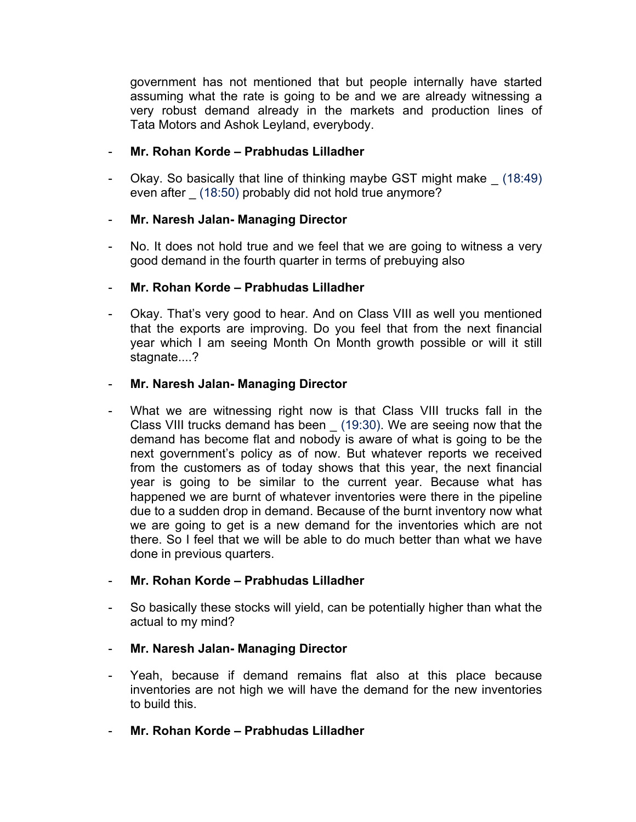government has not mentioned that but people internally have started assuming what the rate is going to be and we are already witnessing a very robust demand already in the markets and production lines of Tata Motors and Ashok Leyland, everybody.

# - **Mr. Rohan Korde – Prabhudas Lilladher**

Okay. So basically that line of thinking maybe GST might make (18:49) even after (18:50) probably did not hold true anymore?

# - **Mr. Naresh Jalan- Managing Director**

No. It does not hold true and we feel that we are going to witness a very good demand in the fourth quarter in terms of prebuying also

# - **Mr. Rohan Korde – Prabhudas Lilladher**

Okay. That's very good to hear. And on Class VIII as well you mentioned that the exports are improving. Do you feel that from the next financial year which I am seeing Month On Month growth possible or will it still stagnate....?

# - **Mr. Naresh Jalan- Managing Director**

What we are witnessing right now is that Class VIII trucks fall in the Class VIII trucks demand has been \_ (19:30). We are seeing now that the demand has become flat and nobody is aware of what is going to be the next government's policy as of now. But whatever reports we received from the customers as of today shows that this year, the next financial year is going to be similar to the current year. Because what has happened we are burnt of whatever inventories were there in the pipeline due to a sudden drop in demand. Because of the burnt inventory now what we are going to get is a new demand for the inventories which are not there. So I feel that we will be able to do much better than what we have done in previous quarters.

# - **Mr. Rohan Korde – Prabhudas Lilladher**

- So basically these stocks will yield, can be potentially higher than what the actual to my mind?
- **Mr. Naresh Jalan- Managing Director**
- Yeah, because if demand remains flat also at this place because inventories are not high we will have the demand for the new inventories to build this.
- **Mr. Rohan Korde – Prabhudas Lilladher**